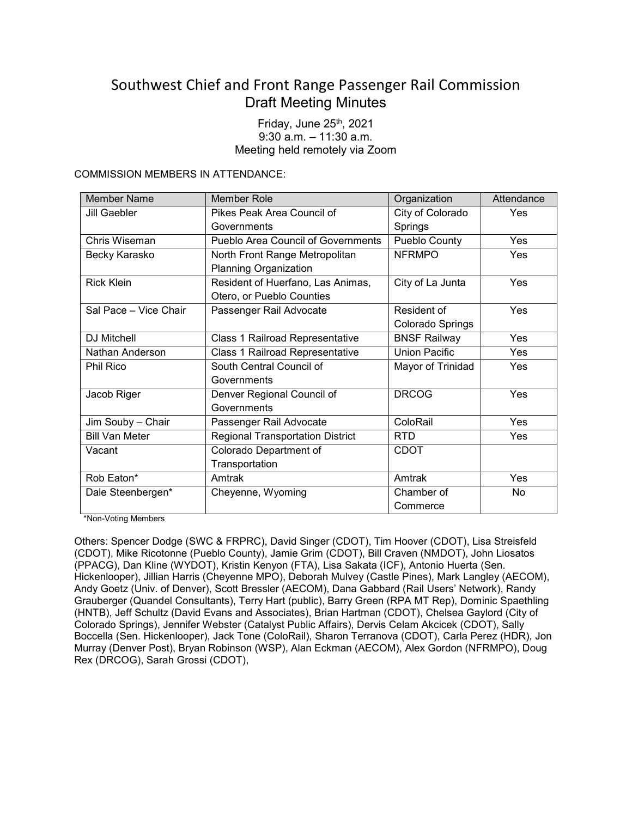# Southwest Chief and Front Range Passenger Rail Commission Draft Meeting Minutes

Friday, June  $25<sup>th</sup>$ , 2021 9:30 a.m. – 11:30 a.m. Meeting held remotely via Zoom

COMMISSION MEMBERS IN ATTENDANCE:

| <b>Member Name</b>    | <b>Member Role</b>                      | Organization         | Attendance |
|-----------------------|-----------------------------------------|----------------------|------------|
| <b>Jill Gaebler</b>   | Pikes Peak Area Council of              | City of Colorado     | Yes        |
|                       | Governments                             | Springs              |            |
| Chris Wiseman         | Pueblo Area Council of Governments      | Pueblo County        | Yes        |
| Becky Karasko         | North Front Range Metropolitan          | <b>NFRMPO</b>        | Yes        |
|                       | <b>Planning Organization</b>            |                      |            |
| <b>Rick Klein</b>     | Resident of Huerfano, Las Animas,       | City of La Junta     | <b>Yes</b> |
|                       | Otero, or Pueblo Counties               |                      |            |
| Sal Pace - Vice Chair | Passenger Rail Advocate                 | Resident of          | Yes        |
|                       |                                         | Colorado Springs     |            |
| <b>DJ Mitchell</b>    | <b>Class 1 Railroad Representative</b>  | <b>BNSF Railway</b>  | Yes        |
| Nathan Anderson       | Class 1 Railroad Representative         | <b>Union Pacific</b> | Yes        |
| Phil Rico             | South Central Council of                | Mayor of Trinidad    | Yes        |
|                       | Governments                             |                      |            |
| Jacob Riger           | Denver Regional Council of              | <b>DRCOG</b>         | Yes        |
|                       | Governments                             |                      |            |
| Jim Souby - Chair     | Passenger Rail Advocate                 | ColoRail             | <b>Yes</b> |
| <b>Bill Van Meter</b> | <b>Regional Transportation District</b> | <b>RTD</b>           | Yes        |
| Vacant                | Colorado Department of                  | <b>CDOT</b>          |            |
|                       | Transportation                          |                      |            |
| Rob Eaton*            | Amtrak                                  | Amtrak               | Yes        |
| Dale Steenbergen*     | Cheyenne, Wyoming                       | Chamber of           | No         |
|                       |                                         | Commerce             |            |

\*Non-Voting Members

Others: Spencer Dodge (SWC & FRPRC), David Singer (CDOT), Tim Hoover (CDOT), Lisa Streisfeld (CDOT), Mike Ricotonne (Pueblo County), Jamie Grim (CDOT), Bill Craven (NMDOT), John Liosatos (PPACG), Dan Kline (WYDOT), Kristin Kenyon (FTA), Lisa Sakata (ICF), Antonio Huerta (Sen. Hickenlooper), Jillian Harris (Cheyenne MPO), Deborah Mulvey (Castle Pines), Mark Langley (AECOM), Andy Goetz (Univ. of Denver), Scott Bressler (AECOM), Dana Gabbard (Rail Users' Network), Randy Grauberger (Quandel Consultants), Terry Hart (public), Barry Green (RPA MT Rep), Dominic Spaethling (HNTB), Jeff Schultz (David Evans and Associates), Brian Hartman (CDOT), Chelsea Gaylord (City of Colorado Springs), Jennifer Webster (Catalyst Public Affairs), Dervis Celam Akcicek (CDOT), Sally Boccella (Sen. Hickenlooper), Jack Tone (ColoRail), Sharon Terranova (CDOT), Carla Perez (HDR), Jon Murray (Denver Post), Bryan Robinson (WSP), Alan Eckman (AECOM), Alex Gordon (NFRMPO), Doug Rex (DRCOG), Sarah Grossi (CDOT),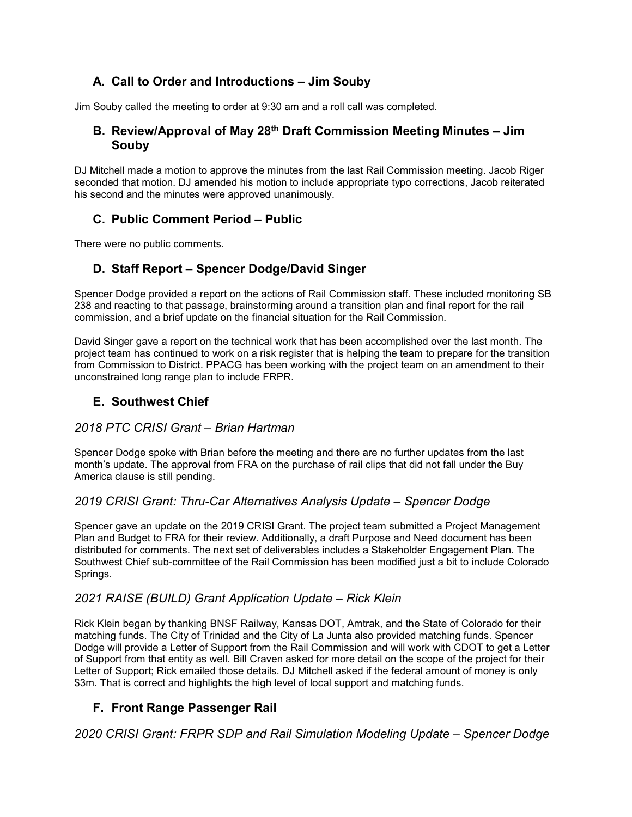# **A. Call to Order and Introductions – Jim Souby**

Jim Souby called the meeting to order at 9:30 am and a roll call was completed.

### **B. Review/Approval of May 28th Draft Commission Meeting Minutes – Jim Souby**

DJ Mitchell made a motion to approve the minutes from the last Rail Commission meeting. Jacob Riger seconded that motion. DJ amended his motion to include appropriate typo corrections, Jacob reiterated his second and the minutes were approved unanimously.

# **C. Public Comment Period – Public**

There were no public comments.

# **D. Staff Report – Spencer Dodge/David Singer**

Spencer Dodge provided a report on the actions of Rail Commission staff. These included monitoring SB 238 and reacting to that passage, brainstorming around a transition plan and final report for the rail commission, and a brief update on the financial situation for the Rail Commission.

David Singer gave a report on the technical work that has been accomplished over the last month. The project team has continued to work on a risk register that is helping the team to prepare for the transition from Commission to District. PPACG has been working with the project team on an amendment to their unconstrained long range plan to include FRPR.

## **E. Southwest Chief**

### *2018 PTC CRISI Grant – Brian Hartman*

Spencer Dodge spoke with Brian before the meeting and there are no further updates from the last month's update. The approval from FRA on the purchase of rail clips that did not fall under the Buy America clause is still pending.

### *2019 CRISI Grant: Thru-Car Alternatives Analysis Update – Spencer Dodge*

Spencer gave an update on the 2019 CRISI Grant. The project team submitted a Project Management Plan and Budget to FRA for their review. Additionally, a draft Purpose and Need document has been distributed for comments. The next set of deliverables includes a Stakeholder Engagement Plan. The Southwest Chief sub-committee of the Rail Commission has been modified just a bit to include Colorado Springs.

# *2021 RAISE (BUILD) Grant Application Update – Rick Klein*

Rick Klein began by thanking BNSF Railway, Kansas DOT, Amtrak, and the State of Colorado for their matching funds. The City of Trinidad and the City of La Junta also provided matching funds. Spencer Dodge will provide a Letter of Support from the Rail Commission and will work with CDOT to get a Letter of Support from that entity as well. Bill Craven asked for more detail on the scope of the project for their Letter of Support; Rick emailed those details. DJ Mitchell asked if the federal amount of money is only \$3m. That is correct and highlights the high level of local support and matching funds.

# **F. Front Range Passenger Rail**

*2020 CRISI Grant: FRPR SDP and Rail Simulation Modeling Update – Spencer Dodge*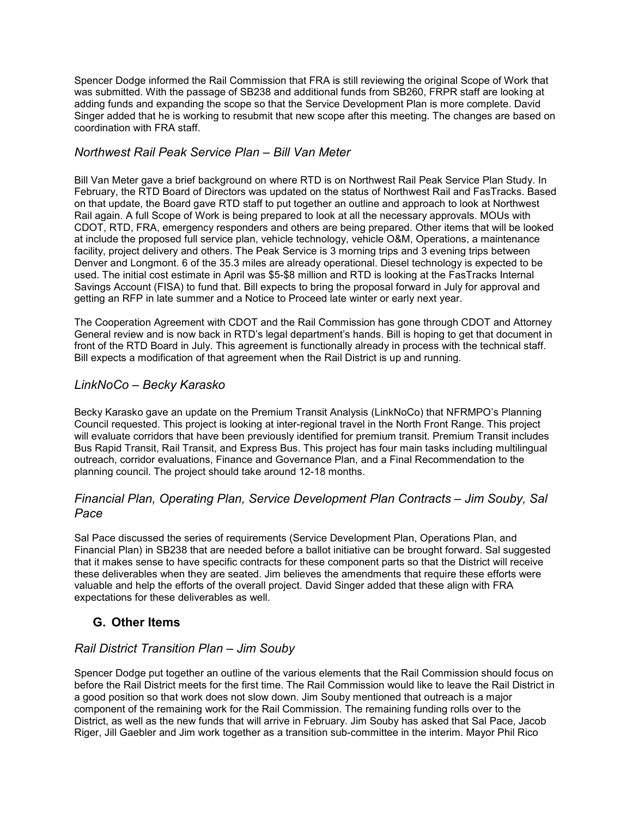Spencer Dodge informed the Rail Commission that FRA is still reviewing the original Scope of Work that was submitted. With the passage of SB238 and additional funds from SB260, FRPR staff are looking at adding funds and expanding the scope so that the Service Development Plan is more complete. David Singer added that he is working to resubmit that new scope after this meeting. The changes are based on coordination with FRA staff.

### *Northwest Rail Peak Service Plan – Bill Van Meter*

Bill Van Meter gave a brief background on where RTD is on Northwest Rail Peak Service Plan Study. In February, the RTD Board of Directors was updated on the status of Northwest Rail and FasTracks. Based on that update, the Board gave RTD staff to put together an outline and approach to look at Northwest Rail again. A full Scope of Work is being prepared to look at all the necessary approvals. MOUs with CDOT, RTD, FRA, emergency responders and others are being prepared. Other items that will be looked at include the proposed full service plan, vehicle technology, vehicle O&M, Operations, a maintenance facility, project delivery and others. The Peak Service is 3 morning trips and 3 evening trips between Denver and Longmont. 6 of the 35.3 miles are already operational. Diesel technology is expected to be used. The initial cost estimate in April was \$5-\$8 million and RTD is looking at the FasTracks Internal Savings Account (FISA) to fund that. Bill expects to bring the proposal forward in July for approval and getting an RFP in late summer and a Notice to Proceed late winter or early next year.

The Cooperation Agreement with CDOT and the Rail Commission has gone through CDOT and Attorney General review and is now back in RTD's legal department's hands. Bill is hoping to get that document in front of the RTD Board in July. This agreement is functionally already in process with the technical staff. Bill expects a modification of that agreement when the Rail District is up and running.

# *LinkNoCo – Becky Karasko*

Becky Karasko gave an update on the Premium Transit Analysis (LinkNoCo) that NFRMPO's Planning Council requested. This project is looking at inter-regional travel in the North Front Range. This project will evaluate corridors that have been previously identified for premium transit. Premium Transit includes Bus Rapid Transit, Rail Transit, and Express Bus. This project has four main tasks including multilingual outreach, corridor evaluations, Finance and Governance Plan, and a Final Recommendation to the planning council. The project should take around 12-18 months.

### *Financial Plan, Operating Plan, Service Development Plan Contracts – Jim Souby, Sal Pace*

Sal Pace discussed the series of requirements (Service Development Plan, Operations Plan, and Financial Plan) in SB238 that are needed before a ballot initiative can be brought forward. Sal suggested that it makes sense to have specific contracts for these component parts so that the District will receive these deliverables when they are seated. Jim believes the amendments that require these efforts were valuable and help the efforts of the overall project. David Singer added that these align with FRA expectations for these deliverables as well.

# **G. Other Items**

### *Rail District Transition Plan – Jim Souby*

Spencer Dodge put together an outline of the various elements that the Rail Commission should focus on before the Rail District meets for the first time. The Rail Commission would like to leave the Rail District in a good position so that work does not slow down. Jim Souby mentioned that outreach is a major component of the remaining work for the Rail Commission. The remaining funding rolls over to the District, as well as the new funds that will arrive in February. Jim Souby has asked that Sal Pace, Jacob Riger, Jill Gaebler and Jim work together as a transition sub-committee in the interim. Mayor Phil Rico